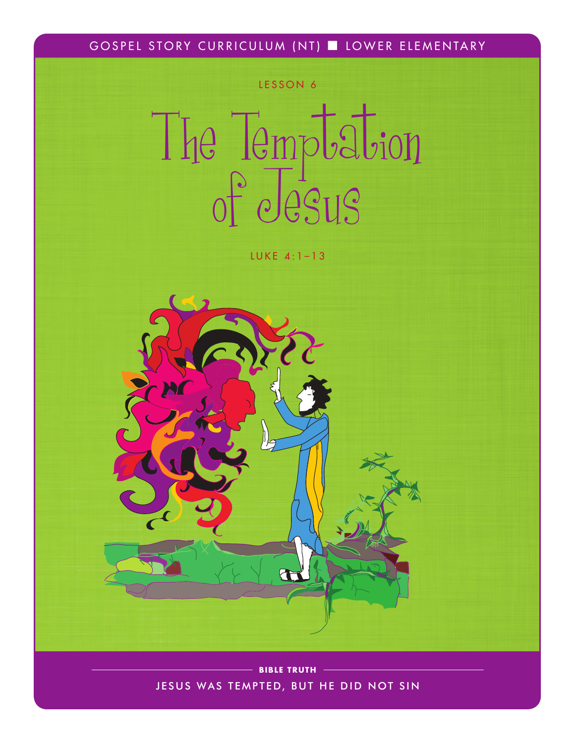## GOSPEL STORY CURRICULUM (NT) ■ LOWER ELEMENTARY



LUKE  $4:1-13$ 



**BIBLE TRUTH** JESUS WAS TEMPTED, BUT HE DID NOT SIN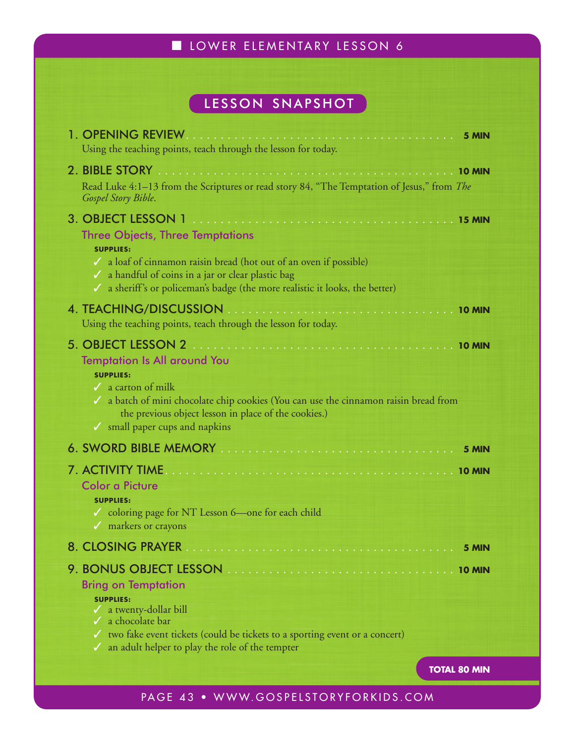# LESSON SNAPSHOT

| Using the teaching points, teach through the lesson for today.                                                                                                                                                                                                                                                                                          |                     |
|---------------------------------------------------------------------------------------------------------------------------------------------------------------------------------------------------------------------------------------------------------------------------------------------------------------------------------------------------------|---------------------|
| Read Luke 4:1-13 from the Scriptures or read story 84, "The Temptation of Jesus," from The<br>Gospel Story Bible.                                                                                                                                                                                                                                       |                     |
| <b>Three Objects, Three Temptations</b><br><b>SUPPLIES:</b><br>a loaf of cinnamon raisin bread (hot out of an oven if possible)<br>$\checkmark$ a handful of coins in a jar or clear plastic bag<br>a sheriff's or policeman's badge (the more realistic it looks, the better)                                                                          |                     |
| Using the teaching points, teach through the lesson for today.                                                                                                                                                                                                                                                                                          |                     |
| <b>Temptation Is All around You</b><br><b>SUPPLIES:</b><br>$\sqrt{ }$ a carton of milk<br>A a batch of mini chocolate chip cookies (You can use the cinnamon raisin bread from<br>the previous object lesson in place of the cookies.)<br>Small paper cups and napkins                                                                                  |                     |
| 6. SWORD BIBLE MEMORY <b>And Account of START START START START START START START START START START START START START START START START START START START START START START START START START START START START START START STAR</b>                                                                                                                    |                     |
| 7. ACTIVITY TIME. A REPORT OF A REPORT OF A REPORT OF A REPORT OF A REPORT OF A REPORT OF A REPORT OF A REPORT OF A REPORT OF A REPORT OF A REPORT OF A REPORT OF A REPORT OF A REPORT OF A REPORT OF A REPORT OF A REPORT OF<br><b>Color a Picture</b><br><b>SUPPLIES:</b><br>√ coloring page for NT Lesson 6—one for each child<br>markers or crayons |                     |
| <b>8. CLOSING PRAYER</b>                                                                                                                                                                                                                                                                                                                                | 5 MIN               |
| 9. BONUS OBJECT LESSON<br><b>EXAMPLE 2019 10 MIN</b><br><b>Bring on Temptation</b><br><b>SUPPLIES:</b><br>a twenty-dollar bill<br>a chocolate bar<br>v two fake event tickets (could be tickets to a sporting event or a concert)<br>$\checkmark$ an adult helper to play the role of the tempter                                                       |                     |
|                                                                                                                                                                                                                                                                                                                                                         | <b>TOTAL 80 MIN</b> |

## PAGE 43 • WWW.GOSPELSTORYFORKIDS.COM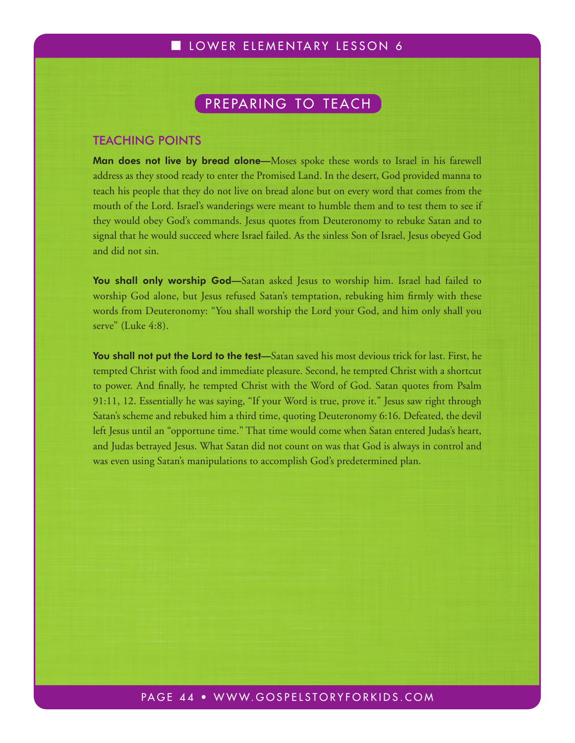## preparing to teach

#### TEACHING POINTS

Man does not live by bread alone—Moses spoke these words to Israel in his farewell address as they stood ready to enter the Promised Land. In the desert, God provided manna to teach his people that they do not live on bread alone but on every word that comes from the mouth of the Lord. Israel's wanderings were meant to humble them and to test them to see if they would obey God's commands. Jesus quotes from Deuteronomy to rebuke Satan and to signal that he would succeed where Israel failed. As the sinless Son of Israel, Jesus obeyed God and did not sin.

You shall only worship God—Satan asked Jesus to worship him. Israel had failed to worship God alone, but Jesus refused Satan's temptation, rebuking him firmly with these words from Deuteronomy: "You shall worship the Lord your God, and him only shall you serve" (Luke 4:8).

You shall not put the Lord to the test—Satan saved his most devious trick for last. First, he tempted Christ with food and immediate pleasure. Second, he tempted Christ with a shortcut to power. And finally, he tempted Christ with the Word of God. Satan quotes from Psalm 91:11, 12. Essentially he was saying, "If your Word is true, prove it." Jesus saw right through Satan's scheme and rebuked him a third time, quoting Deuteronomy 6:16. Defeated, the devil left Jesus until an "opportune time." That time would come when Satan entered Judas's heart, and Judas betrayed Jesus. What Satan did not count on was that God is always in control and was even using Satan's manipulations to accomplish God's predetermined plan.

#### PAGE 44 • WWW.GOSPELSTORYFORKIDS.COM PAGE 44 • WWW.GOSPELSTORYFORKIDS.COM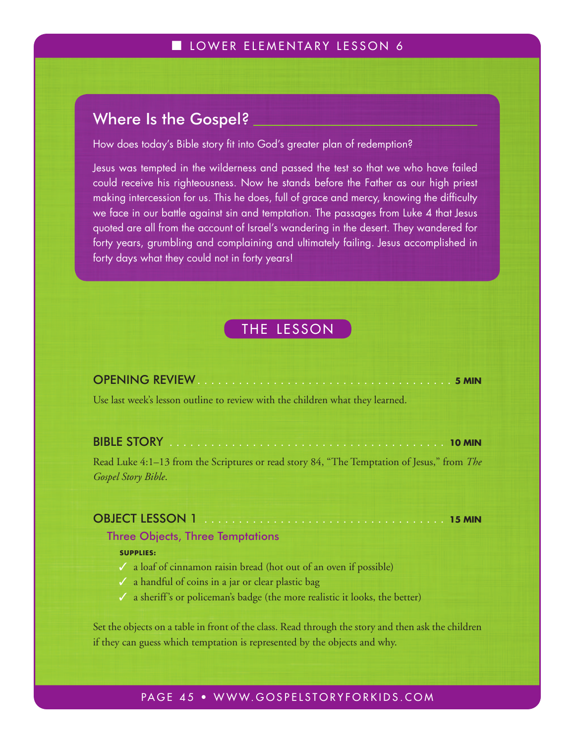## Where Is the Gospel?

How does today's Bible story fit into God's greater plan of redemption?

Jesus was tempted in the wilderness and passed the test so that we who have failed could receive his righteousness. Now he stands before the Father as our high priest making intercession for us. This he does, full of grace and mercy, knowing the difficulty we face in our battle against sin and temptation. The passages from Luke 4 that Jesus quoted are all from the account of Israel's wandering in the desert. They wandered for forty years, grumbling and complaining and ultimately failing. Jesus accomplished in forty days what they could not in forty years!

## the lesson

| OPENING REVIEW NELL REDUCED AND THE REVIEW OPENING REVIEW NELL REDUCED AND THE REDUCED AT A LIBRAry CONDITION | 5 MIN         |
|---------------------------------------------------------------------------------------------------------------|---------------|
| Use last week's lesson outline to review with the children what they learned.                                 |               |
| <b>BIBLE STORY</b>                                                                                            | <b>10 MIN</b> |

Read Luke 4:1–13 from the Scriptures or read story 84, "The Temptation of Jesus," from *The Gospel Story Bible*.

| <b>Three Objects, Three Temptations</b> |  |  |  |
|-----------------------------------------|--|--|--|
| <b>SUPPLIES:</b>                        |  |  |  |

- ✓ a loaf of cinnamon raisin bread (hot out of an oven if possible)
- $\checkmark$  a handful of coins in a jar or clear plastic bag
- $\checkmark$  a sheriff's or policeman's badge (the more realistic it looks, the better)

Set the objects on a table in front of the class. Read through the story and then ask the children if they can guess which temptation is represented by the objects and why.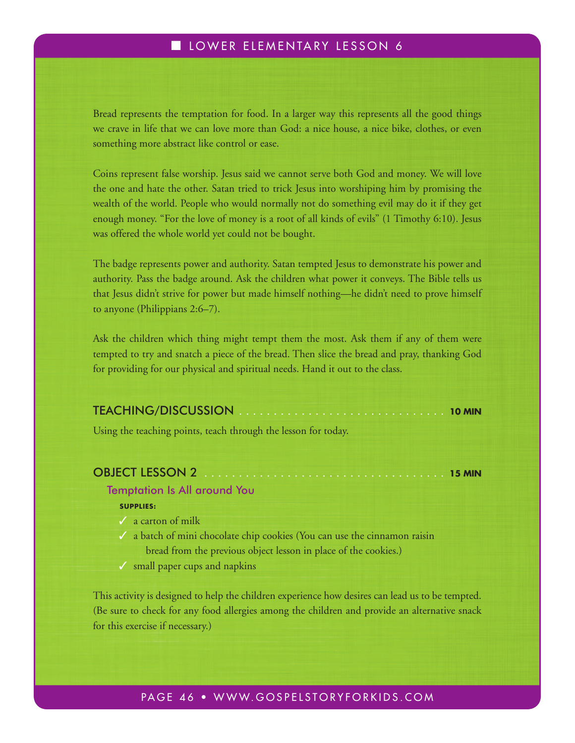Bread represents the temptation for food. In a larger way this represents all the good things we crave in life that we can love more than God: a nice house, a nice bike, clothes, or even something more abstract like control or ease.

Coins represent false worship. Jesus said we cannot serve both God and money. We will love the one and hate the other. Satan tried to trick Jesus into worshiping him by promising the wealth of the world. People who would normally not do something evil may do it if they get enough money. "For the love of money is a root of all kinds of evils" (1 Timothy 6:10). Jesus was offered the whole world yet could not be bought.

The badge represents power and authority. Satan tempted Jesus to demonstrate his power and authority. Pass the badge around. Ask the children what power it conveys. The Bible tells us that Jesus didn't strive for power but made himself nothing—he didn't need to prove himself to anyone (Philippians 2:6–7).

Ask the children which thing might tempt them the most. Ask them if any of them were tempted to try and snatch a piece of the bread. Then slice the bread and pray, thanking God for providing for our physical and spiritual needs. Hand it out to the class.

#### TEACHING/DISCUSSION .............................. **10 MIN**

Using the teaching points, teach through the lesson for today.

# OBJECT LESSON 2 ................................... **15 MIN**

#### Temptation Is All around You

#### **SUPPLIES:**

✓ a carton of milk

- $\checkmark$  a batch of mini chocolate chip cookies (You can use the cinnamon raisin bread from the previous object lesson in place of the cookies.)
- $\checkmark$  small paper cups and napkins

This activity is designed to help the children experience how desires can lead us to be tempted. (Be sure to check for any food allergies among the children and provide an alternative snack for this exercise if necessary.)

#### PAGE 46 • WWW.GOSPELSTORYFORKIDS.COM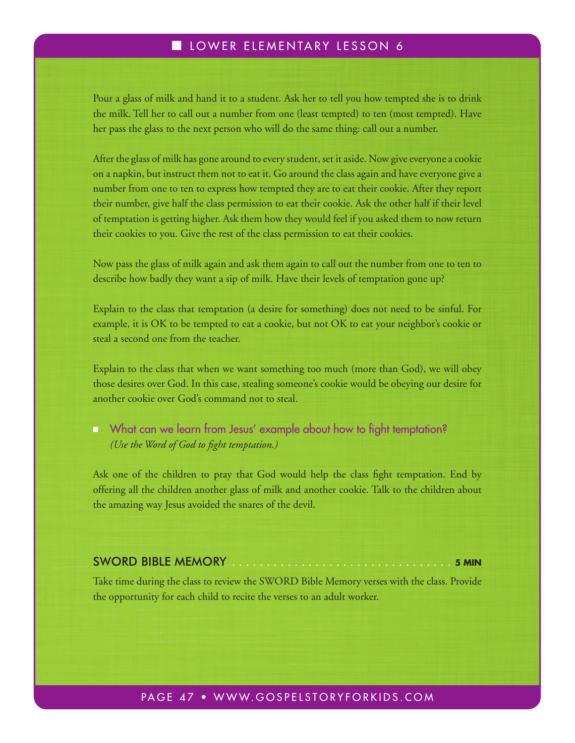Pour a glass of milk and hand it to a student. Ask her to tell you how tempted she is to drink the milk. Tell her to call out a number from one (least tempted) to ten (most tempted). Have her pass the glass to the next person who will do the same thing: call out a number.

After the glass of milk has gone around to every student, set it aside. Now give everyone a cookie on a napkin, but instruct them not to eat it. Go around the class again and have everyone give a number from one to ten to express how tempted they are to eat their cookie. After they report their number, give half the class permission to eat their cookie. Ask the other half if their level of temptation is getting higher. Ask them how they would feel if you asked them to now return their cookies to you. Give the rest of the class permission to eat their cookies.

Now pass the glass of milk again and ask them again to call out the number from one to ten to describe how badly they want a sip of milk. Have their levels of temptation gone up?

Explain to the class that temptation (a desire for something) does not need to be sinful. For example, it is OK to be tempted to eat a cookie, but not OK to eat your neighbor's cookie or steal a second one from the teacher.

Explain to the class that when we want something too much (more than God), we will obey those desires over God. In this case, stealing someone's cookie would be obeying our desire for another cookie over God's command not to steal.

■ What can we learn from Jesus' example about how to fight temptation? *(Use the Word of God to fight temptation.)*

Ask one of the children to pray that God would help the class fight temptation. End by offering all the children another glass of milk and another cookie. Talk to the children about the amazing way Jesus avoided the snares of the devil.

| SWORD BIBLE MEMORY <b>CONTROLL CONTROL</b> STATE STATE AND STATE AND STATE AND STATE AND STATE AND STATE AND STATE AND STATE AND STATE AND STATE AND STATE AND STATE AND STATE AND STATE AND STATE AND STATE AND STATE AND STATE AN |
|-------------------------------------------------------------------------------------------------------------------------------------------------------------------------------------------------------------------------------------|
| Take time during the class to review the SWORD Bible Memory verses with the class. Provide                                                                                                                                          |
| the opportunity for each child to recite the verses to an adult worker.                                                                                                                                                             |

#### PAGE 47 • WWW.GOSPELSTORYFORKIDS.COM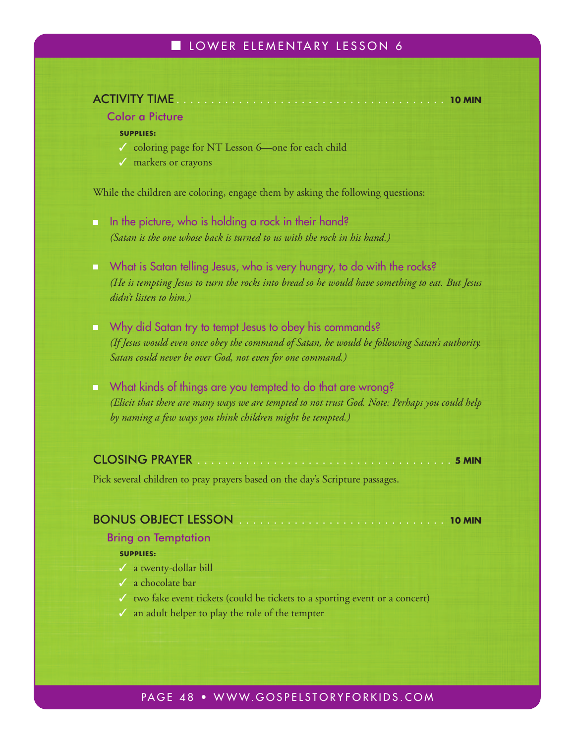| Color a Picture |  |  |  |  |  |  |  |
|-----------------|--|--|--|--|--|--|--|

#### **SUPPLIES:**

- ✓ coloring page for NT Lesson 6—one for each child
- ✓ markers or crayons

While the children are coloring, engage them by asking the following questions:

- In the picture, who is holding a rock in their hand? *(Satan is the one whose back is turned to us with the rock in his hand.)*
- What is Satan telling Jesus, who is very hungry, to do with the rocks? *(He is tempting Jesus to turn the rocks into bread so he would have something to eat. But Jesus didn't listen to him.)*
- Why did Satan try to tempt Jesus to obey his commands? *(If Jesus would even once obey the command of Satan, he would be following Satan's authority. Satan could never be over God, not even for one command.)*
- What kinds of things are you tempted to do that are wrong? *(Elicit that there are many ways we are tempted to not trust God. Note: Perhaps you could help by naming a few ways you think children might be tempted.)*

| CLOSING PRAYER <b>CLOSING PRAYER</b> |  |  |  |  |  |  |  |  |  |  |  |  |  |  |  |  |  |  |  |  |  |  |  |  |  |  |  |  |
|--------------------------------------|--|--|--|--|--|--|--|--|--|--|--|--|--|--|--|--|--|--|--|--|--|--|--|--|--|--|--|--|
|--------------------------------------|--|--|--|--|--|--|--|--|--|--|--|--|--|--|--|--|--|--|--|--|--|--|--|--|--|--|--|--|

Pick several children to pray prayers based on the day's Scripture passages.

|                            |  |  | <b>10 MIN</b> |
|----------------------------|--|--|---------------|
| <b>Bring on Temptation</b> |  |  |               |
| <b>SUPPLIES:</b>           |  |  |               |

- ✓ a twenty-dollar bill
- ✓ a chocolate bar
- ✓ two fake event tickets (could be tickets to a sporting event or a concert)
- ✓ an adult helper to play the role of the tempter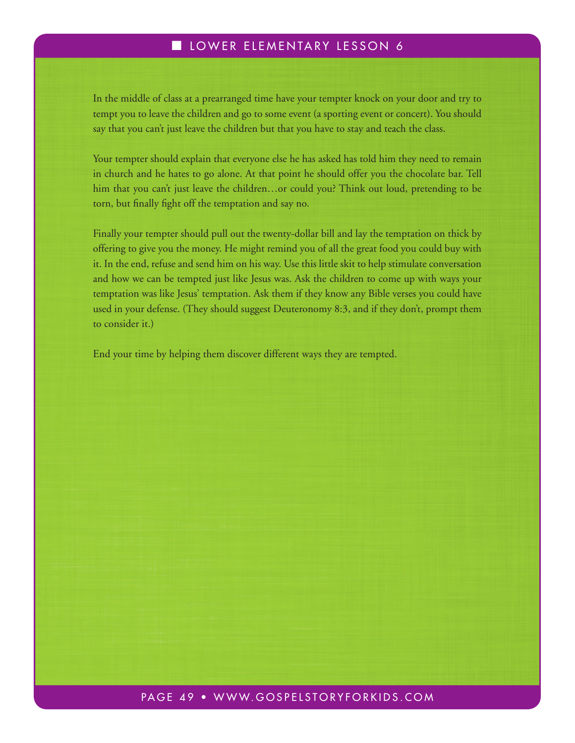In the middle of class at a prearranged time have your tempter knock on your door and try to tempt you to leave the children and go to some event (a sporting event or concert). You should say that you can't just leave the children but that you have to stay and teach the class.

Your tempter should explain that everyone else he has asked has told him they need to remain in church and he hates to go alone. At that point he should offer you the chocolate bar. Tell him that you can't just leave the children…or could you? Think out loud, pretending to be torn, but finally fight off the temptation and say no.

Finally your tempter should pull out the twenty-dollar bill and lay the temptation on thick by offering to give you the money. He might remind you of all the great food you could buy with it. In the end, refuse and send him on his way. Use this little skit to help stimulate conversation and how we can be tempted just like Jesus was. Ask the children to come up with ways your temptation was like Jesus' temptation. Ask them if they know any Bible verses you could have used in your defense. (They should suggest Deuteronomy 8:3, and if they don't, prompt them to consider it.)

End your time by helping them discover different ways they are tempted.

#### PAGE 49 • WWW.GOSPELSTORYFORKIDS.COM